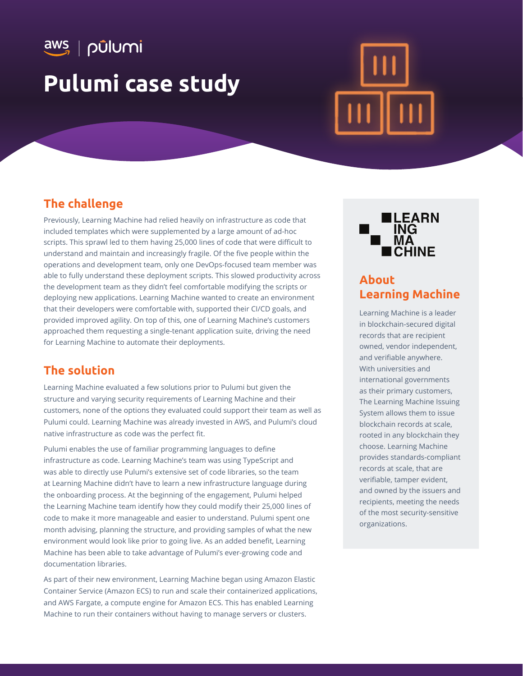aws | pūlumi **Pulumi case study**

## **The challenge**

Previously, Learning Machine had relied heavily on infrastructure as code that included templates which were supplemented by a large amount of ad-hoc scripts. This sprawl led to them having 25,000 lines of code that were difficult to understand and maintain and increasingly fragile. Of the five people within the operations and development team, only one DevOps-focused team member was able to fully understand these deployment scripts. This slowed productivity across the development team as they didn't feel comfortable modifying the scripts or deploying new applications. Learning Machine wanted to create an environment that their developers were comfortable with, supported their CI/CD goals, and provided improved agility. On top of this, one of Learning Machine's customers approached them requesting a single-tenant application suite, driving the need for Learning Machine to automate their deployments.

## **The solution**

Learning Machine evaluated a few solutions prior to Pulumi but given the structure and varying security requirements of Learning Machine and their customers, none of the options they evaluated could support their team as well as Pulumi could. Learning Machine was already invested in AWS, and Pulumi's cloud native infrastructure as code was the perfect fit.

Pulumi enables the use of familiar programming languages to define infrastructure as code. Learning Machine's team was using TypeScript and was able to directly use Pulumi's extensive set of code libraries, so the team at Learning Machine didn't have to learn a new infrastructure language during the onboarding process. At the beginning of the engagement, Pulumi helped the Learning Machine team identify how they could modify their 25,000 lines of code to make it more manageable and easier to understand. Pulumi spent one month advising, planning the structure, and providing samples of what the new environment would look like prior to going live. As an added benefit, Learning Machine has been able to take advantage of Pulumi's ever-growing code and documentation libraries.

As part of their new environment, Learning Machine began using Amazon Elastic Container Service (Amazon ECS) to run and scale their containerized applications, and AWS Fargate, a compute engine for Amazon ECS. This has enabled Learning Machine to run their containers without having to manage servers or clusters.



# **About Learning Machine**

Learning Machine is a leader in blockchain-secured digital records that are recipient owned, vendor independent, and verifiable anywhere. With universities and international governments as their primary customers, The Learning Machine Issuing System allows them to issue blockchain records at scale, rooted in any blockchain they choose. Learning Machine provides standards-compliant records at scale, that are verifiable, tamper evident, and owned by the issuers and recipients, meeting the needs of the most security-sensitive organizations.